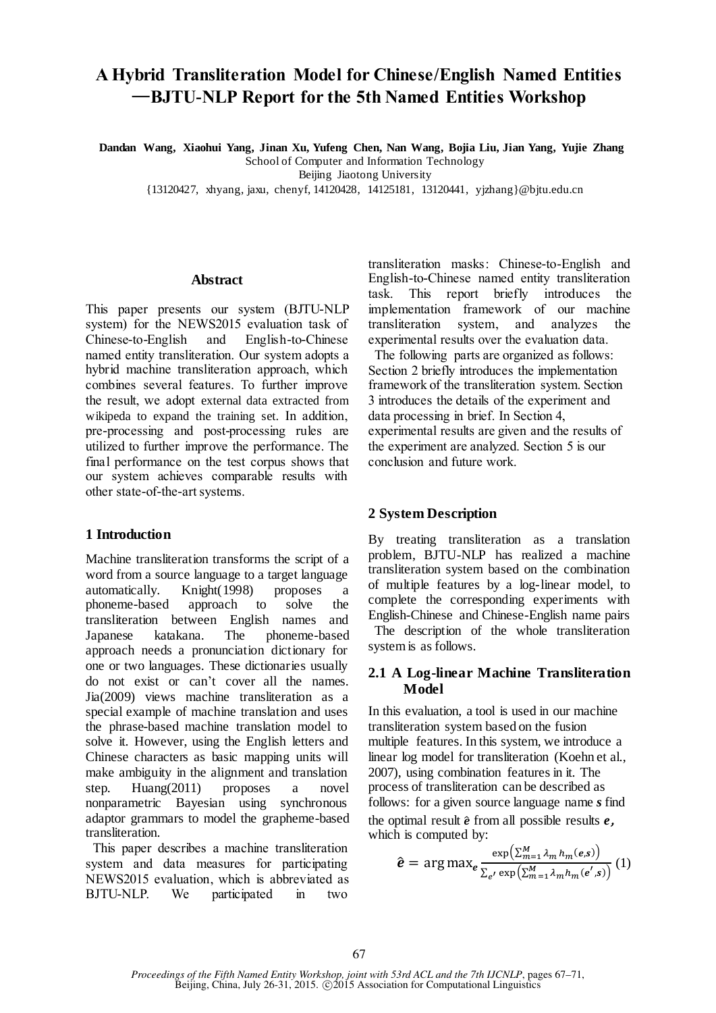# **A Hybrid Transliteration Model for Chinese/English Named Entities** —**BJTU-NLP Report for the 5th Named Entities Workshop**

**Dandan Wang, Xiaohui Yang, Jinan Xu, Yufeng Chen, Nan Wang, Bojia Liu, Jian Yang, Yujie Zhang** School of Computer and Information Technology

Beijing Jiaotong University

{13120427, xhyang, jaxu, chenyf, 14120428, 14125181, 13120441, yjzhang}@bjtu.edu.cn

#### **Abstract**

This paper presents our system (BJTU-NLP system) for the NEWS2015 evaluation task of Chinese-to-English and English-to-Chinese named entity transliteration. Our system adopts a hybrid machine transliteration approach, which combines several features. To further improve the result, we adopt external data extracted from wikipeda to expand the training set. In addition, pre-processing and post-processing rules are utilized to further improve the performance. The final performance on the test corpus shows that our system achieves comparable results with other state-of-the-art systems.

### **1 Introduction**

Machine transliteration transforms the script of a word from a source language to a target language automatically. Knight(1998) proposes a phoneme-based approach to solve the transliteration between English names and Japanese katakana. The phoneme-based approach needs a pronunciation dictionary for one or two languages. These dictionaries usually do not exist or can't cover all the names. Jia(2009) views machine transliteration as a special example of machine translation and uses the phrase-based machine translation model to solve it. However, using the English letters and Chinese characters as basic mapping units will make ambiguity in the alignment and translation step. Huang(2011) proposes a novel nonparametric Bayesian using synchronous adaptor grammars to model the grapheme-based transliteration.

 This paper describes a machine transliteration system and data measures for participating NEWS2015 evaluation, which is abbreviated as BJTU-NLP. We participated in two

transliteration masks: Chinese-to-English and English-to-Chinese named entity transliteration task. This report briefly introduces the implementation framework of our machine transliteration system, and analyzes the experimental results over the evaluation data.

 The following parts are organized as follows: Section 2 briefly introduces the implementation framework of the transliteration system. Section 3 introduces the details of the experiment and data processing in brief. In Section 4, experimental results are given and the results of the experiment are analyzed. Section 5 is our conclusion and future work.

### **2 System Description**

By treating transliteration as a translation problem, BJTU-NLP has realized a machine transliteration system based on the combination of multiple features by a log-linear model, to complete the corresponding experiments with English-Chinese and Chinese-English name pairs The description of the whole transliteration system is as follows.

#### **2.1 A Log-linear Machine Transliteration Model**

In this evaluation, a tool is used in our machine transliteration system based on the fusion multiple features. In this system, we introduce a linear log model for transliteration (Koehn et al., 2007), using combination features in it. The process of transliteration can be described as follows: for a given source language name *s* find the optimal result  $\hat{e}$  from all possible results  $e$ . which is computed by:

$$
\hat{\mathbf{e}} = \arg \max_{\mathbf{e}} \frac{\exp\left(\sum_{m=1}^{M} \lambda_m h_m(\mathbf{e}, \mathbf{s})\right)}{\sum_{e'} \exp\left(\sum_{m=1}^{M} \lambda_m h_m(\mathbf{e}', \mathbf{s})\right)} (1)
$$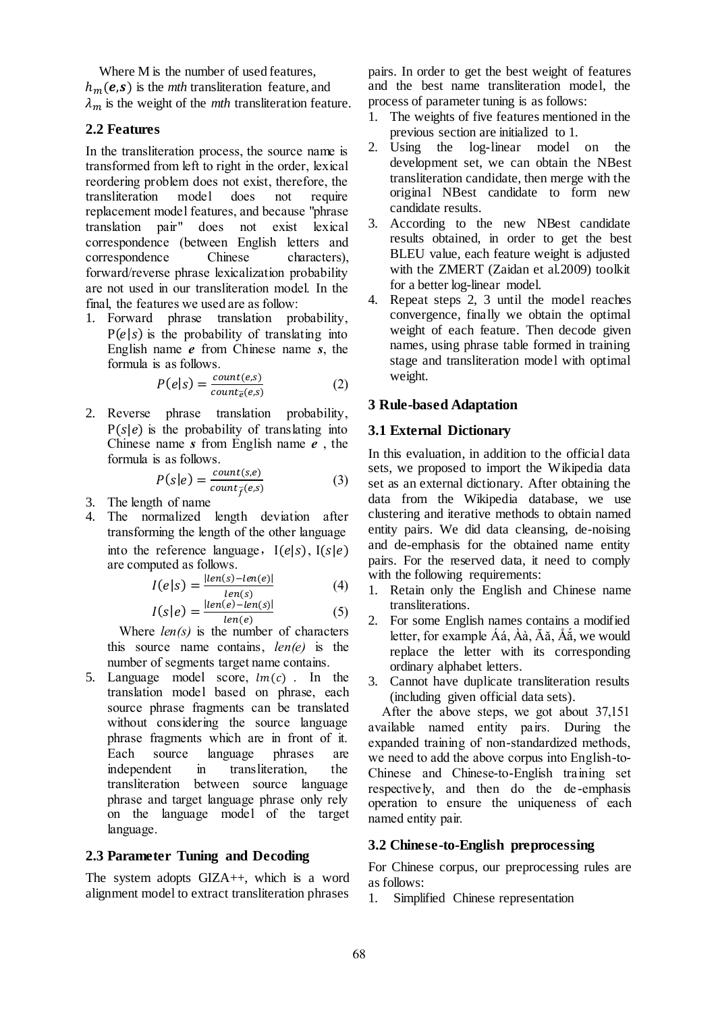Where M is the number of used features.  $h_m(e,s)$  is the *mth* transliteration feature, and  $\lambda_m$  is the weight of the *mth* transliteration feature.

### **2.2 Features**

In the transliteration process, the source name is transformed from left to right in the order, lexical reordering problem does not exist, therefore, the transliteration model does not require replacement model features, and because "phrase translation pair" does not exist lexical correspondence (between English letters and correspondence Chinese characters), forward/reverse phrase lexicalization probability are not used in our transliteration model. In the final, the features we used are as follow:

1. Forward phrase translation probability,  $P(e|s)$  is the probability of translating into English name *e* from Chinese name *s*, the formula is as follows.

$$
P(e|s) = \frac{count(e,s)}{count_e(e,s)}
$$
 (2)

2. Reverse phrase translation probability,  $P(s|e)$  is the probability of translating into Chinese name *s* from English name *e* , the formula is as follows.

$$
P(s|e) = \frac{count(s,e)}{count_{\bar{f}}(e,s)}
$$
(3)

- 3. The length of name
- 4. The normalized length deviation after transforming the length of the other language into the reference language,  $I(e|s)$ ,  $I(s|e)$ are computed as follows.

$$
I(e|s) = \frac{|len(s) - len(e)|}{len(s)}
$$
(4)

$$
I(s|e) = \frac{|len(e) - len(s)|}{len(e)}\tag{5}
$$

Where *len(s)* is the number of characters this source name contains, *len(e)* is the number of segments target name contains.

5. Language model score,  $lm(c)$ . In the translation model based on phrase, each source phrase fragments can be translated without considering the source language phrase fragments which are in front of it. Each source language phrases are independent in transliteration, the transliteration between source language phrase and target language phrase only rely on the language model of the target language.

### **2.3 Parameter Tuning and Decoding**

The system adopts GIZA++, which is a word alignment model to extract transliteration phrases

pairs. In order to get the best weight of features and the best name transliteration model, the process of parameter tuning is as follows:

- 1. The weights of five features mentioned in the previous section are initialized to 1.
- 2. Using the log-linear model on the development set, we can obtain the NBest transliteration candidate, then merge with the original NBest candidate to form new candidate results.
- 3. According to the new NBest candidate results obtained, in order to get the best BLEU value, each feature weight is adjusted with the ZMERT (Zaidan et al.2009) toolkit for a better log-linear model.
- 4. Repeat steps 2, 3 until the model reaches convergence, finally we obtain the optimal weight of each feature. Then decode given names, using phrase table formed in training stage and transliteration model with optimal weight.

# **3 Rule-based Adaptation**

# **3.1 External Dictionary**

In this evaluation, in addition to the official data sets, we proposed to import the Wikipedia data set as an external dictionary. After obtaining the data from the Wikipedia database, we use clustering and iterative methods to obtain named entity pairs. We did data cleansing, de-noising and de-emphasis for the obtained name entity pairs. For the reserved data, it need to comply with the following requirements:

- 1. Retain only the English and Chinese name transliterations.
- 2. For some English names contains a modified letter, for example Áá,  $\hat{A}$ à,  $\hat{A}$ ă,  $\hat{A}$ ă, we would replace the letter with its corresponding ordinary alphabet letters.
- 3. Cannot have duplicate transliteration results (including given official data sets).

After the above steps, we got about 37,151 available named entity pairs. During the expanded training of non-standardized methods, we need to add the above corpus into English-to-Chinese and Chinese-to-English training set respectively, and then do the de -emphasis operation to ensure the uniqueness of each named entity pair.

### **3.2 Chinese-to-English preprocessing**

For Chinese corpus, our preprocessing rules are as follows:

1. Simplified Chinese representation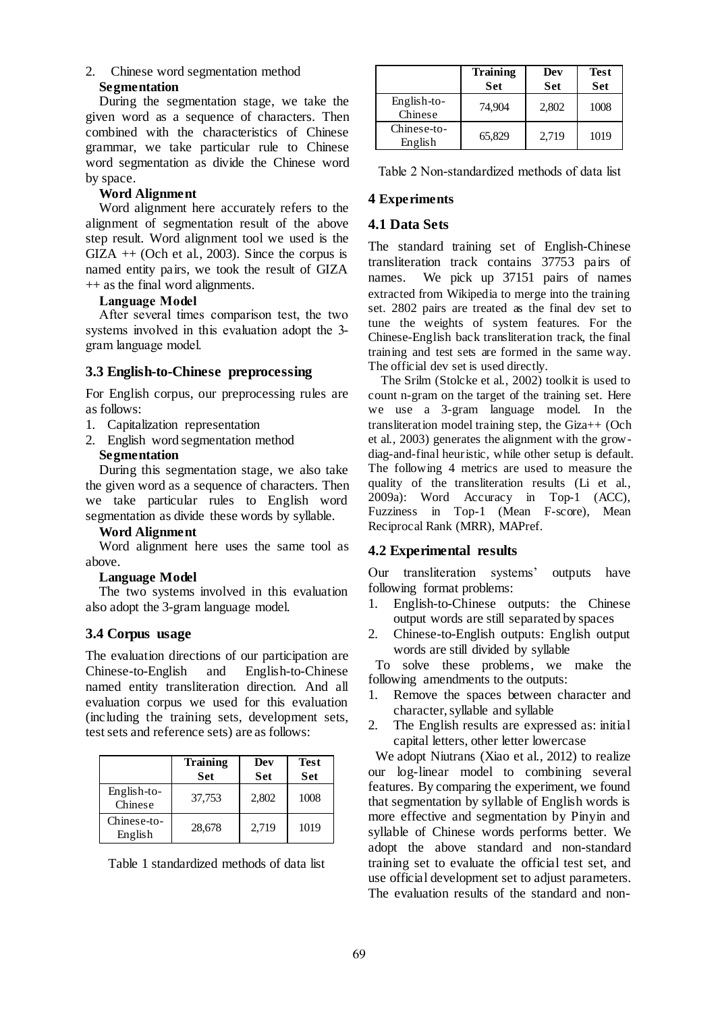### 2. Chinese word segmentation method **Segmentation**

During the segmentation stage, we take the given word as a sequence of characters. Then combined with the characteristics of Chinese grammar, we take particular rule to Chinese word segmentation as divide the Chinese word by space.

### **Word Alignment**

Word alignment here accurately refers to the alignment of segmentation result of the above step result. Word alignment tool we used is the  $GIZA + (Och et al., 2003)$ . Since the corpus is named entity pairs, we took the result of GIZA ++ as the final word alignments.

### **Language Model**

After several times comparison test, the two systems involved in this evaluation adopt the 3 gram language model.

### **3.3 English-to-Chinese preprocessing**

For English corpus, our preprocessing rules are as follows:

- 1. Capitalization representation
- 2. English word segmentation method

### **Segmentation**

During this segmentation stage, we also take the given word as a sequence of characters. Then we take particular rules to English word segmentation as divide these words by syllable*.*

#### **Word Alignment**

Word alignment here uses the same tool as above.

### **Language Model**

The two systems involved in this evaluation also adopt the 3-gram language model.

### **3.4 Corpus usage**

The evaluation directions of our participation are Chinese-to-English and English-to-Chinese named entity transliteration direction. And all evaluation corpus we used for this evaluation (including the training sets, development sets, test sets and reference sets) are as follows:

|                          | <b>Training</b><br>Set | Dev<br><b>Set</b> | <b>Test</b><br><b>Set</b> |
|--------------------------|------------------------|-------------------|---------------------------|
| $English-to-$<br>Chinese | 37,753                 | 2,802             | 1008                      |
| Chinese-to-<br>English   | 28,678                 | 2,719             | 1019                      |

Table 1 standardized methods of data list

|                        | <b>Training</b><br>Set | Dev<br><b>Set</b> | Test<br><b>Set</b> |
|------------------------|------------------------|-------------------|--------------------|
| English-to-<br>Chinese | 74,904                 | 2,802             | 1008               |
| Chinese-to-<br>English | 65,829                 | 2.719             | 1019               |

Table 2 Non-standardized methods of data list

### **4 Experiments**

### **4.1 Data Sets**

The standard training set of English-Chinese transliteration track contains 37753 pairs of names. We pick up 37151 pairs of names extracted from Wikipedia to merge into the training set. 2802 pairs are treated as the final dev set to tune the weights of system features. For the Chinese-English back transliteration track, the final training and test sets are formed in the same way. The official dev set is used directly.

The Srilm (Stolcke et al., 2002) toolkit is used to count n-gram on the target of the training set. Here we use a 3-gram language model. In the transliteration model training step, the Giza++ (Och et al., 2003) generates the alignment with the growdiag-and-final heuristic, while other setup is default. The following 4 metrics are used to measure the quality of the transliteration results (Li et al., 2009a): Word Accuracy in Top-1 (ACC), Fuzziness in Top-1 (Mean F-score), Mean Reciprocal Rank (MRR), MAPref.

### **4.2 Experimental results**

Our transliteration systems' outputs have following format problems:

- 1. English-to-Chinese outputs: the Chinese output words are still separated by spaces
- 2. Chinese-to-English outputs: English output words are still divided by syllable

To solve these problems, we make the following amendments to the outputs:

- 1. Remove the spaces between character and character, syllable and syllable
- 2. The English results are expressed as: initial capital letters, other letter lowercase

We adopt Niutrans (Xiao et al., 2012) to realize our log-linear model to combining several features. By comparing the experiment, we found that segmentation by syllable of English words is more effective and segmentation by Pinyin and syllable of Chinese words performs better. We adopt the above standard and non-standard training set to evaluate the official test set, and use official development set to adjust parameters. The evaluation results of the standard and non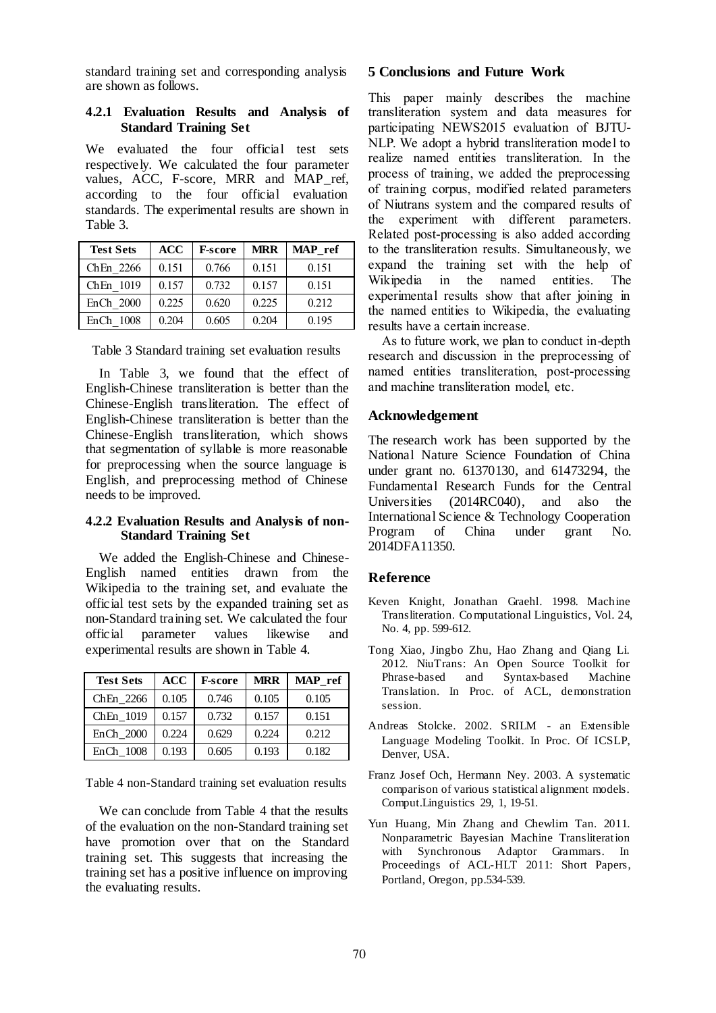standard training set and corresponding analysis are shown as follows.

### **4.2.1 Evaluation Results and Analysis of Standard Training Set**

We evaluated the four official test sets respectively. We calculated the four parameter values, ACC, F-score, MRR and MAP\_ref, according to the four official evaluation standards. The experimental results are shown in Table 3.

| <b>Test Sets</b> | ACC   | <b>F-score</b> | <b>MRR</b> | MAP ref |
|------------------|-------|----------------|------------|---------|
| ChEn 2266        | 0.151 | 0.766          | 0.151      | 0.151   |
| ChEn 1019        | 0.157 | 0.732          | 0.157      | 0.151   |
| EnCh 2000        | 0.225 | 0.620          | 0.225      | 0.212   |
| EnCh<br>- 1008   | 0.204 | 0.605          | 0.204      | 0.195   |

Table 3 Standard training set evaluation results

In Table 3, we found that the effect of English-Chinese transliteration is better than the Chinese-English transliteration. The effect of English-Chinese transliteration is better than the Chinese-English transliteration, which shows that segmentation of syllable is more reasonable for preprocessing when the source language is English, and preprocessing method of Chinese needs to be improved.

#### **4.2.2 Evaluation Results and Analysis of non-Standard Training Set**

We added the English-Chinese and Chinese-English named entities drawn from the Wikipedia to the training set, and evaluate the official test sets by the expanded training set as non-Standard training set. We calculated the four official parameter values likewise and experimental results are shown in Table 4.

| <b>Test Sets</b> | <b>ACC</b> | <b>F-score</b> | <b>MRR</b> | MAP ref |
|------------------|------------|----------------|------------|---------|
| ChEn 2266        | 0.105      | 0.746          | 0.105      | 0.105   |
| ChEn 1019        | 0.157      | 0.732          | 0.157      | 0.151   |
| EnCh 2000        | 0.224      | 0.629          | 0.224      | 0.212   |
| EnCh 1008        | 0.193      | 0.605          | 0.193      | 0.182   |

Table 4 non-Standard training set evaluation results

We can conclude from Table 4 that the results of the evaluation on the non-Standard training set have promotion over that on the Standard training set. This suggests that increasing the training set has a positive influence on improving the evaluating results.

### **5 Conclusions and Future Work**

This paper mainly describes the machine transliteration system and data measures for participating NEWS2015 evaluation of BJTU-NLP. We adopt a hybrid transliteration model to realize named entities transliteration. In the process of training, we added the preprocessing of training corpus, modified related parameters of Niutrans system and the compared results of the experiment with different parameters. Related post-processing is also added according to the transliteration results. Simultaneously, we expand the training set with the help of Wikipedia in the named entities. The experimental results show that after joining in the named entities to Wikipedia, the evaluating results have a certain increase.

As to future work, we plan to conduct in-depth research and discussion in the preprocessing of named entities transliteration, post-processing and machine transliteration model, etc.

### **Acknowledgement**

The research work has been supported by the National Nature Science Foundation of China under grant no. 61370130, and 61473294, the Fundamental Research Funds for the Central Universities (2014RC040), and also the International Science & Technology Cooperation Program of China under grant No. 2014DFA11350.

### **Reference**

- Keven Knight, Jonathan Graehl. 1998. Machine Transliteration. Computational Linguistics, Vol. 24, No. 4, pp. 599-612.
- Tong Xiao, Jingbo Zhu, Hao Zhang and Qiang Li. 2012. NiuTrans: An Open Source Toolkit for Phrase-based and Syntax-based Machine Translation. In Proc. of ACL, demonstration session.
- Andreas Stolcke. 2002. SRILM an Extensible Language Modeling Toolkit. In Proc. Of ICSLP, Denver, USA.
- Franz Josef Och, Hermann Ney. 2003. A systematic comparison of various statistical alignment models. Comput.Linguistics 29, 1, 19-51.
- Yun Huang, Min Zhang and Chewlim Tan. 2011. Nonparametric Bayesian Machine Transliteration with Synchronous Adaptor Grammars. In Proceedings of ACL-HLT 2011: Short Papers, Portland, Oregon, pp.534-539.